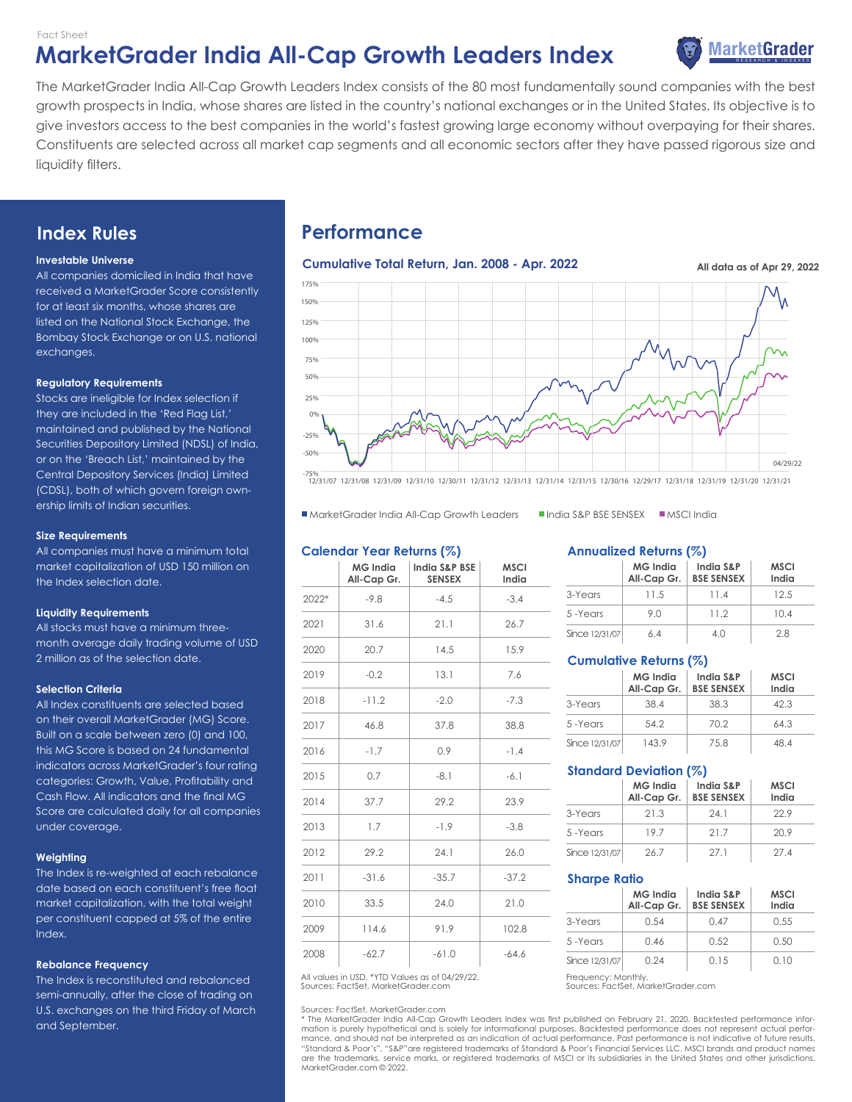### Fact Sheet

# **MarketGrader India All-Cap Growth Leaders Index Grader MarketGrader**



The MarketGrader India All-Cap Growth Leaders Index consists of the 80 most fundamentally sound companies with the best growth prospects in India, whose shares are listed in the country's national exchanges or in the United States. Its objective is to give investors access to the best companies in the world's fastest growing large economy without overpaying for their shares. Constituents are selected across all market cap segments and all economic sectors after they have passed rigorous size and liquidity filters.

# **Index Rules**

### **Investable Universe**

All companies domiciled in India that have received a MarketGrader Score consistently for at least six months, whose shares are listed on the National Stock Exchange, the Bombay Stock Exchange or on U.S. national exchanges.

### **Regulatory Requirements**

Stocks are ineligible for Index selection if they are included in the 'Red Flag List,' maintained and published by the National Securities Depository Limited (NDSL) of India, or on the 'Breach List,' maintained by the Central Depository Services (India) Limited (CDSL), both of which govern foreign ownership limits of Indian securities.

### **Size Requirements**

All companies must have a minimum total market capitalization of USD 150 million on the Index selection date.

### **Liquidity Requirements**

All stocks must have a minimum threemonth average daily trading volume of USD 2 million as of the selection date.

### **Selection Criteria**

All Index constituents are selected based on their overall MarketGrader (MG) Score. Built on a scale between zero (0) and 100, this MG Score is based on 24 fundamental indicators across MarketGrader's four rating categories: Growth, Value, Profitability and Cash Flow. All indicators and the final MG Score are calculated daily for all companies under coverage.

### **Weighting**

The Index is re-weighted at each rebalance date based on each constituent's free float market capitalization, with the total weight per constituent capped at 5% of the entire Index.

### **Rebalance Frequency**

The Index is reconstituted and rebalanced semi-annually, after the close of trading on U.S. exchanges on the third Friday of March and September.

# **Performance**



-75% 12/31/07 12/31/08 12/31/09 12/31/10 12/30/11 12/31/12 12/31/13 12/31/14 12/31/15 12/30/16 12/29/17 12/31/18 12/31/19 12/31/20 12/31/21

■ MarketGrader India All-Cap Growth Leaders ■ India S&P BSE SENSEX ■ MSCI India

### **Calendar Year Returns (%)**

|       | MG India<br>All-Cap Gr. | India S&P BSE<br><b>SENSEX</b> | <b>MSCI</b><br>India |
|-------|-------------------------|--------------------------------|----------------------|
| 2022* | $-9.8$                  | $-4.5$                         | $-3.4$               |
| 2021  | 31.6                    | 21.1                           | 26.7                 |
| 2020  | 20.7                    | 14.5                           | 15.9                 |
| 2019  | $-0.2$                  | 13.1                           | 7.6                  |
| 2018  | $-11.2$                 | $-2.0$                         | $-7.3$               |
| 2017  | 46.8                    | 37.8                           | 38.8                 |
| 2016  | $-1.7$                  | 0.9                            | $-1.4$               |
| 2015  | 0.7                     | $-8.1$                         | $-6.1$               |
| 2014  | 37.7                    | 29.2                           | 23.9                 |
| 2013  | 1.7                     | $-1.9$                         | $-3.8$               |
| 2012  | 29.2                    | 24.1                           | 26.0                 |
| 2011  | $-31.6$                 | $-35.7$                        | $-37.2$              |
| 2010  | 33.5                    | 24.0                           | 21.0                 |
| 2009  | 114.6                   | 91.9                           | 102.8                |
| 2008  | $-62.7$                 | $-61.0$                        | $-64.6$              |

Sources: FactSet, MarketGrader.com All values in USD. \*YTD Values as of 04/29/22. Frequency: Monthly

Sources: FactSet, MarketGrader.com

\* The MarketGrader India All-Cap Growth Leaders Index was first published on February 21, 2020. Backtested performance information is purely hypothetical and is solely for informational purposes. Backtested performance does not represent actual performance, and should not be interpreted as an indication of actual performance. Past performance is not indicative of future results. "Standard & Poor's", "S&P"are registered trademarks of Standard & Poor's Financial Services LLC. MSCI brands and product names are the trademarks, service marks, or registered trademarks of MSCI or its subsidiaries in the United States and other jurisdictions. MarketGrader.com © 2022.

### **Annualized Returns (%)**

|                | <b>MG India</b><br>All-Cap Gr. | India S&P<br><b>BSE SENSEX</b> | <b>MSCI</b><br>India |
|----------------|--------------------------------|--------------------------------|----------------------|
| 3-Years        | 11.5                           | 114                            | 12.5                 |
| 5-Years        | 90                             | 112                            | 10.4                 |
| Since 12/31/07 | 64                             | 4 N                            | 28                   |

### **Cumulative Returns (%)**

|                | <b>MG</b> India<br>All-Cap Gr. | India S&P<br><b>BSE SENSEX</b> | <b>MSCI</b><br>India |
|----------------|--------------------------------|--------------------------------|----------------------|
| 3-Years        | 38.4                           | 38.3                           | 423                  |
| 5-Years        | 54.2                           | 70.2                           | 64.3                 |
| Since 12/31/07 | 143.9                          | 75.8                           | 484                  |

### **Standard Deviation (%)**

|                | <b>MG</b> India<br>All-Cap Gr. | India S&P<br><b>BSE SENSEX</b> | <b>MSCI</b><br>India |
|----------------|--------------------------------|--------------------------------|----------------------|
| 3-Years        | 21.3                           | 24 1                           | 229                  |
| 5-Years        | 197                            | 21.7                           | 20.9                 |
| Since 12/31/07 | 26.7                           | 271                            | 274                  |

### **Sharpe Ratio**

|                | <b>MG</b> India<br>All-Cap Gr. | India S&P<br><b>BSE SENSEX</b> | <b>MSCI</b><br>India |
|----------------|--------------------------------|--------------------------------|----------------------|
| 3-Years        | O 54                           | 0.47                           | 0.55                 |
| 5-Years        | 0.46                           | 0.52                           | 0.50                 |
| Since 12/31/07 | O 24                           | O 1.5                          | N 10                 |

Sources: FactSet, MarketGrader.com